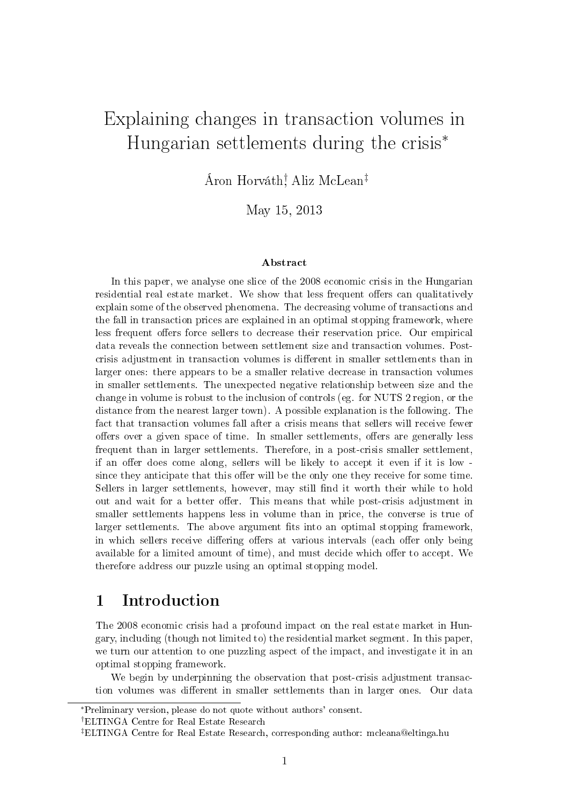# Explaining changes in transaction volumes in Hungarian settlements during the crisis<sup>∗</sup>

Áron Horváth† , Aliz McLean‡

May 15, 2013

#### Abstract

In this paper, we analyse one slice of the 2008 economic crisis in the Hungarian residential real estate market. We show that less frequent offers can qualitatively explain some of the observed phenomena. The decreasing volume of transactions and the fall in transaction prices are explained in an optimal stopping framework, where less frequent offers force sellers to decrease their reservation price. Our empirical data reveals the connection between settlement size and transaction volumes. Postcrisis adjustment in transaction volumes is dierent in smaller settlements than in larger ones: there appears to be a smaller relative decrease in transaction volumes in smaller settlements. The unexpected negative relationship between size and the change in volume is robust to the inclusion of controls (eg. for NUTS 2 region, or the distance from the nearest larger town). A possible explanation is the following. The fact that transaction volumes fall after a crisis means that sellers will receive fewer offers over a given space of time. In smaller settlements, offers are generally less frequent than in larger settlements. Therefore, in a post-crisis smaller settlement, if an offer does come along, sellers will be likely to accept it even if it is low since they anticipate that this offer will be the only one they receive for some time. Sellers in larger settlements, however, may still find it worth their while to hold out and wait for a better offer. This means that while post-crisis adjustment in smaller settlements happens less in volume than in price, the converse is true of larger settlements. The above argument fits into an optimal stopping framework. in which sellers receive differing offers at various intervals (each offer only being available for a limited amount of time), and must decide which offer to accept. We therefore address our puzzle using an optimal stopping model.

### 1 Introduction

The 2008 economic crisis had a profound impact on the real estate market in Hungary, including (though not limited to) the residential market segment. In this paper, we turn our attention to one puzzling aspect of the impact, and investigate it in an optimal stopping framework.

We begin by underpinning the observation that post-crisis adjustment transaction volumes was different in smaller settlements than in larger ones. Our data

†ELTINGA Centre for Real Estate Research

<sup>∗</sup>Preliminary version, please do not quote without authors' consent.

<sup>‡</sup>ELTINGA Centre for Real Estate Research, corresponding author: mcleana@eltinga.hu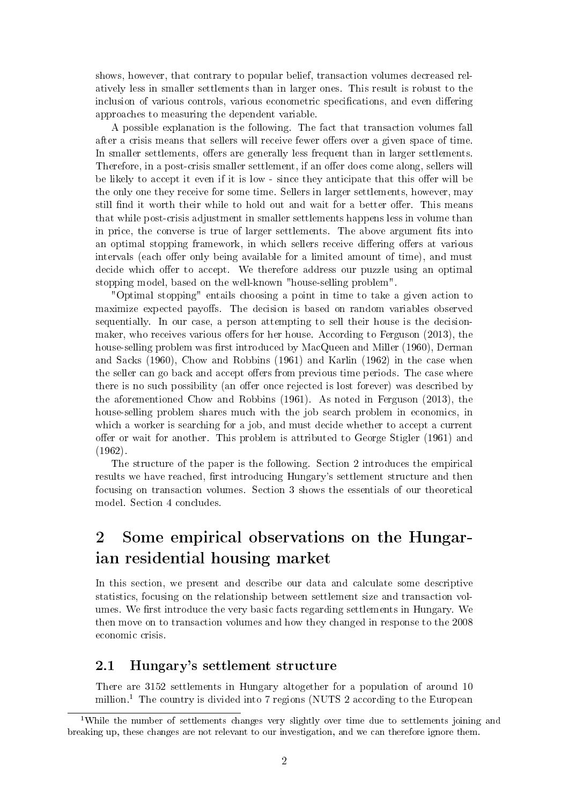shows, however, that contrary to popular belief, transaction volumes decreased relatively less in smaller settlements than in larger ones. This result is robust to the inclusion of various controls, various econometric specifications, and even differing approaches to measuring the dependent variable.

A possible explanation is the following. The fact that transaction volumes fall after a crisis means that sellers will receive fewer offers over a given space of time. In smaller settlements, offers are generally less frequent than in larger settlements. Therefore, in a post-crisis smaller settlement, if an offer does come along, sellers will be likely to accept it even if it is low - since they anticipate that this offer will be the only one they receive for some time. Sellers in larger settlements, however, may still find it worth their while to hold out and wait for a better offer. This means that while post-crisis adjustment in smaller settlements happens less in volume than in price, the converse is true of larger settlements. The above argument fits into an optimal stopping framework, in which sellers receive differing offers at various intervals (each offer only being available for a limited amount of time), and must decide which offer to accept. We therefore address our puzzle using an optimal stopping model, based on the well-known "house-selling problem".

"Optimal stopping" entails choosing a point in time to take a given action to maximize expected payoffs. The decision is based on random variables observed sequentially. In our case, a person attempting to sell their house is the decisionmaker, who receives various offers for her house. According to Ferguson  $(2013)$ , the house-selling problem was first introduced by MacQueen and Miller (1960), Derman and Sacks (1960), Chow and Robbins (1961) and Karlin (1962) in the case when the seller can go back and accept offers from previous time periods. The case where there is no such possibility (an offer once rejected is lost forever) was described by the aforementioned Chow and Robbins (1961). As noted in Ferguson (2013), the house-selling problem shares much with the job search problem in economics, in which a worker is searching for a job, and must decide whether to accept a current offer or wait for another. This problem is attributed to George Stigler  $(1961)$  and (1962).

The structure of the paper is the following. Section 2 introduces the empirical results we have reached, first introducing Hungary's settlement structure and then focusing on transaction volumes. Section 3 shows the essentials of our theoretical model. Section 4 concludes.

## 2 Some empirical observations on the Hungarian residential housing market

In this section, we present and describe our data and calculate some descriptive statistics, focusing on the relationship between settlement size and transaction volumes. We first introduce the very basic facts regarding settlements in Hungary. We then move on to transaction volumes and how they changed in response to the 2008 economic crisis.

### 2.1 Hungary's settlement structure

There are 3152 settlements in Hungary altogether for a population of around 10 million.<sup>1</sup> The country is divided into 7 regions (NUTS 2 according to the European

<sup>&</sup>lt;sup>1</sup>While the number of settlements changes very slightly over time due to settlements joining and breaking up, these changes are not relevant to our investigation, and we can therefore ignore them.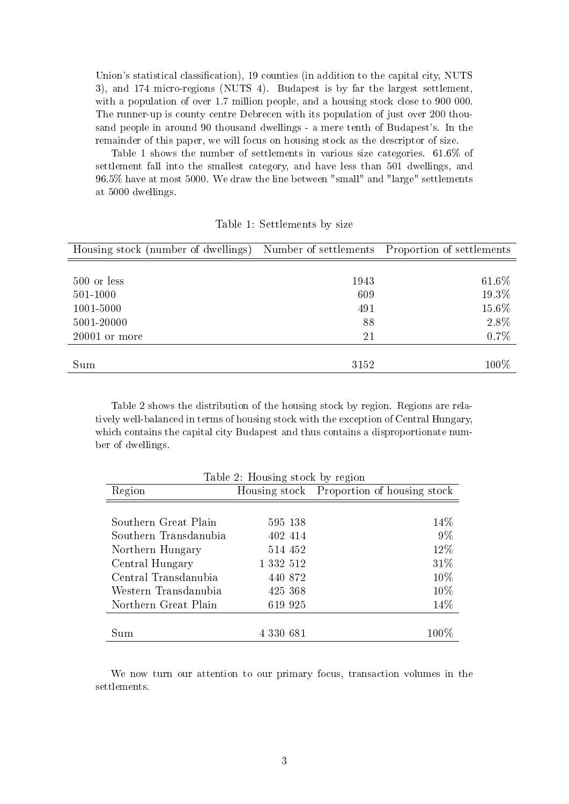Union's statistical classification), 19 counties (in addition to the capital city, NUTS 3), and 174 micro-regions (NUTS 4). Budapest is by far the largest settlement, with a population of over 1.7 million people, and a housing stock close to 900 000. The runner-up is county centre Debrecen with its population of just over 200 thousand people in around 90 thousand dwellings - a mere tenth of Budapest's. In the remainder of this paper, we will focus on housing stock as the descriptor of size.

Table 1 shows the number of settlements in various size categories. 61.6% of settlement fall into the smallest category, and have less than 501 dwellings, and 96.5% have at most 5000. We draw the line between "small" and "large" settlements at 5000 dwellings.

| Housing stock (number of dwellings) |      | Number of settlements Proportion of settlements |
|-------------------------------------|------|-------------------------------------------------|
|                                     |      |                                                 |
| 500 or less                         | 1943 | 61.6%                                           |
| 501-1000                            | 609  | 19.3%                                           |
| 1001-5000                           | 491  | 15.6%                                           |
| 5001-20000                          | 88   | 2.8%                                            |
| $20001$ or more                     | 21   | 0.7%                                            |
|                                     |      |                                                 |
| Sum                                 | 3152 | 100%                                            |

Table 1: Settlements by size

Table 2 shows the distribution of the housing stock by region. Regions are relatively well-balanced in terms of housing stock with the exception of Central Hungary, which contains the capital city Budapest and thus contains a disproportionate number of dwellings.

| Table 2: Housing stock by region |           |                                           |  |
|----------------------------------|-----------|-------------------------------------------|--|
| Region                           |           | Housing stock Proportion of housing stock |  |
|                                  |           |                                           |  |
| Southern Great Plain             | 595 138   | 14%                                       |  |
| Southern Transdanubia            | 402 414   | $9\%$                                     |  |
| Northern Hungary                 | 514 452   | 12%                                       |  |
| Central Hungary                  | 1 332 512 | 31\%                                      |  |
| Central Transdanubia             | 440 872   | 10%                                       |  |
| Western Transdanubia             | 425 368   | $10\%$                                    |  |
| Northern Great Plain             | 619 925   | 14\%                                      |  |
|                                  |           |                                           |  |
| Sum                              | 4 330 681 | $100\%$                                   |  |

We now turn our attention to our primary focus, transaction volumes in the settlements.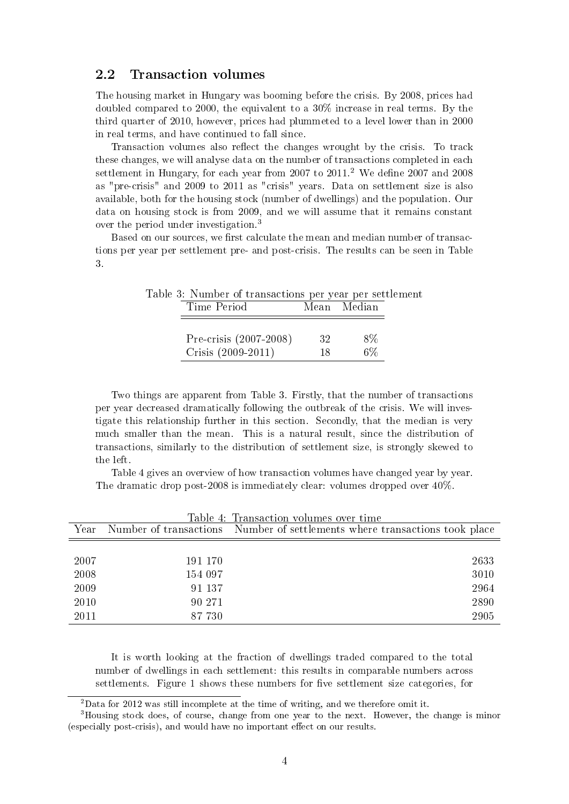#### 2.2 Transaction volumes

The housing market in Hungary was booming before the crisis. By 2008, prices had doubled compared to 2000, the equivalent to a 30% increase in real terms. By the third quarter of 2010, however, prices had plummeted to a level lower than in 2000 in real terms, and have continued to fall since.

Transaction volumes also reflect the changes wrought by the crisis. To track these changes, we will analyse data on the number of transactions completed in each settlement in Hungary, for each year from 2007 to  $2011<sup>2</sup>$  We define 2007 and 2008 as "pre-crisis" and 2009 to 2011 as "crisis" years. Data on settlement size is also available, both for the housing stock (number of dwellings) and the population. Our data on housing stock is from 2009, and we will assume that it remains constant over the period under investigation.<sup>3</sup>

Based on our sources, we first calculate the mean and median number of transactions per year per settlement pre- and post-crisis. The results can be seen in Table 3.

| Table 3: Number of transactions per year per settlement |    |             |  |
|---------------------------------------------------------|----|-------------|--|
| Time Period                                             |    | Mean Median |  |
|                                                         |    |             |  |
| Pre-crisis (2007-2008)                                  | 32 | 8%          |  |
| Crisis (2009-2011)                                      | 18 | $6\%$       |  |

Two things are apparent from Table 3. Firstly, that the number of transactions per year decreased dramatically following the outbreak of the crisis. We will investigate this relationship further in this section. Secondly, that the median is very much smaller than the mean. This is a natural result, since the distribution of transactions, similarly to the distribution of settlement size, is strongly skewed to the left.

Table 4 gives an overview of how transaction volumes have changed year by year. The dramatic drop post-2008 is immediately clear: volumes dropped over 40%.

| Year |         | Number of transactions Number of settlements where transactions took place |
|------|---------|----------------------------------------------------------------------------|
|      |         |                                                                            |
| 2007 | 191 170 | 2633                                                                       |
| 2008 | 154 097 | 3010                                                                       |
| 2009 | 91 137  | 2964                                                                       |
| 2010 | 90 271  | 2890                                                                       |
| 2011 | 87 730  | 2905                                                                       |

Table 4: Transaction volumes over time

It is worth looking at the fraction of dwellings traded compared to the total number of dwellings in each settlement: this results in comparable numbers across settlements. Figure 1 shows these numbers for five settlement size categories, for

<sup>2</sup>Data for 2012 was still incomplete at the time of writing, and we therefore omit it.

<sup>3</sup>Housing stock does, of course, change from one year to the next. However, the change is minor (especially post-crisis), and would have no important effect on our results.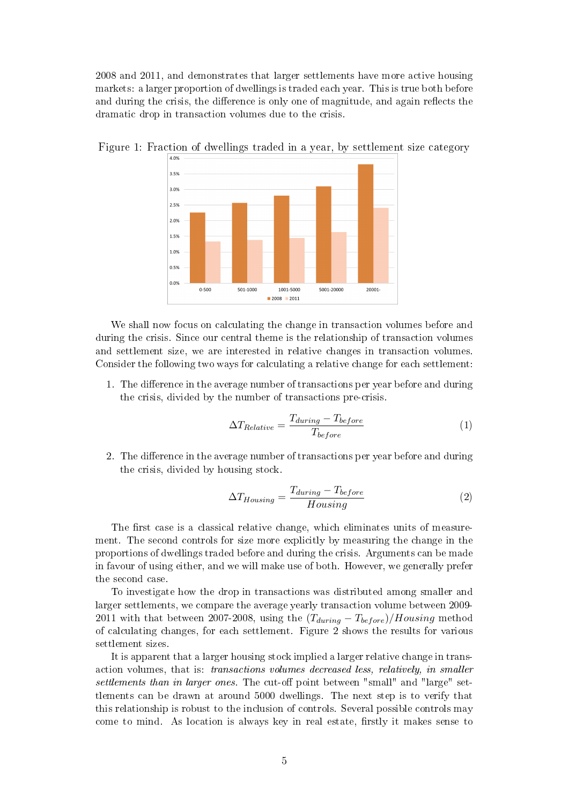2008 and 2011, and demonstrates that larger settlements have more active housing markets: a larger proportion of dwellings is traded each year. This is true both before and during the crisis, the difference is only one of magnitude, and again reflects the dramatic drop in transaction volumes due to the crisis.



Figure 1: Fraction of dwellings traded in a year, by settlement size category

We shall now focus on calculating the change in transaction volumes before and during the crisis. Since our central theme is the relationship of transaction volumes and settlement size, we are interested in relative changes in transaction volumes. Consider the following two ways for calculating a relative change for each settlement:

1. The difference in the average number of transactions per year before and during the crisis, divided by the number of transactions pre-crisis.

$$
\Delta T_{Relative} = \frac{T_{during} - T_{before}}{T_{before}} \tag{1}
$$

2. The difference in the average number of transactions per year before and during the crisis, divided by housing stock.

$$
\Delta T_{Housing} = \frac{T_{during} - T_{before}}{Housing} \tag{2}
$$

The first case is a classical relative change, which eliminates units of measurement. The second controls for size more explicitly by measuring the change in the proportions of dwellings traded before and during the crisis. Arguments can be made in favour of using either, and we will make use of both. However, we generally prefer the second case.

To investigate how the drop in transactions was distributed among smaller and larger settlements, we compare the average yearly transaction volume between 2009- 2011 with that between 2007-2008, using the  $(T_{during} - T_{before})/Housing$  method of calculating changes, for each settlement. Figure 2 shows the results for various settlement sizes.

It is apparent that a larger housing stock implied a larger relative change in transaction volumes, that is: transactions volumes decreased less, relatively, in smaller settlements than in larger ones. The cut-off point between "small" and "large" settlements can be drawn at around 5000 dwellings. The next step is to verify that this relationship is robust to the inclusion of controls. Several possible controls may come to mind. As location is always key in real estate, firstly it makes sense to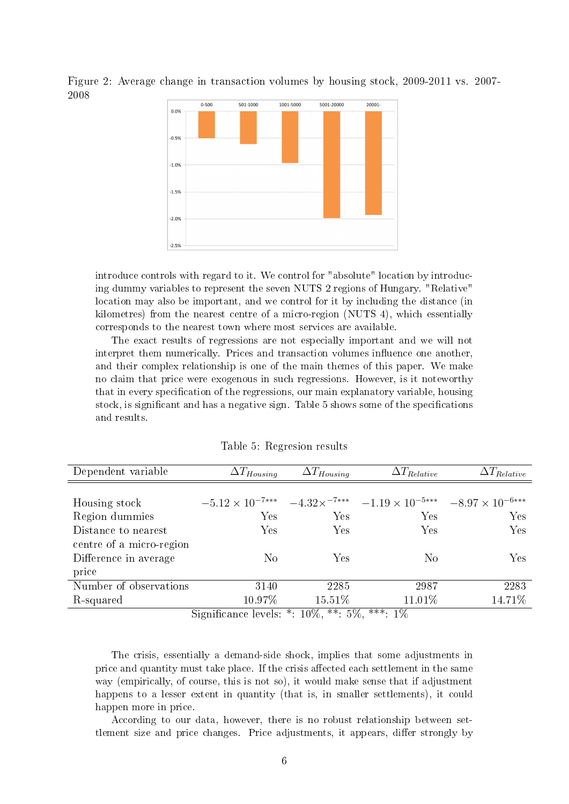

Figure 2: Average change in transaction volumes by housing stock, 2009-2011 vs. 2007- 2008

introduce controls with regard to it. We control for "absolute" location by introducing dummy variables to represent the seven NUTS 2 regions of Hungary. "Relative" location may also be important, and we control for it by including the distance (in kilometres) from the nearest centre of a micro-region (NUTS 4), which essentially corresponds to the nearest town where most services are available.

The exact results of regressions are not especially important and we will not interpret them numerically. Prices and transaction volumes influence one another. and their complex relationship is one of the main themes of this paper. We make no claim that price were exogenous in such regressions. However, is it noteworthy that in every specification of the regressions, our main explanatory variable, housing stock, is significant and has a negative sign. Table 5 shows some of the specifications and results.

| Dependent variable       | $\Delta T_{Housing}$     | $\Delta T_{Housing}$       | $\Delta T_{Relative}$                                                                                | $\Delta T_{Relative}$ |
|--------------------------|--------------------------|----------------------------|------------------------------------------------------------------------------------------------------|-----------------------|
|                          |                          |                            |                                                                                                      |                       |
| Housing stock            |                          |                            | $-5.12 \times 10^{-7***}$ $-4.32 \times 7^{***}$ $-1.19 \times 10^{-5***}$ $-8.97 \times 10^{-6***}$ |                       |
| Region dummies           | Yes                      | Yes                        | Yes                                                                                                  | <b>Yes</b>            |
| Distance to nearest      | Yes                      | Yes                        | Yes                                                                                                  | Yes                   |
| centre of a micro-region |                          |                            |                                                                                                      |                       |
| Difference in average    | No                       | Yes                        | $\rm No$                                                                                             | Yes                   |
| price                    |                          |                            |                                                                                                      |                       |
| Number of observations   | 3140                     | 2285                       | 2987                                                                                                 | 2283                  |
| R-squared                | 10.97%                   | $15.51\%$                  | 11.01\%                                                                                              | 14.71%                |
|                          | $\cdot$ $\sim$<br>$\sim$ | $1007$ ** $F07$<br>$\star$ | ***<br>$-107$                                                                                        |                       |

Table 5: Regresion results

Significance levels:  $*: 10\%, **: 5\%, ***: 1\%$ 

The crisis, essentially a demand-side shock, implies that some adjustments in price and quantity must take place. If the crisis affected each settlement in the same way (empirically, of course, this is not so), it would make sense that if adjustment happens to a lesser extent in quantity (that is, in smaller settlements), it could happen more in price.

According to our data, however, there is no robust relationship between settlement size and price changes. Price adjustments, it appears, differ strongly by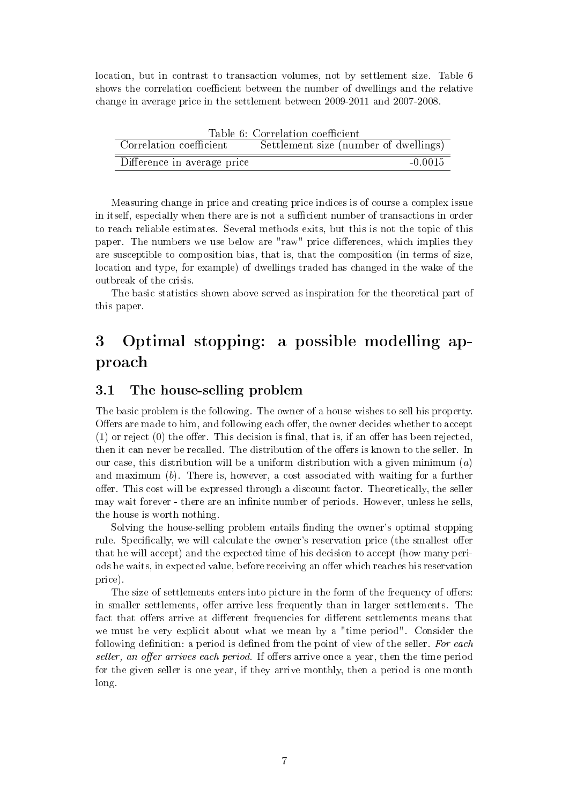location, but in contrast to transaction volumes, not by settlement size. Table 6 shows the correlation coefficient between the number of dwellings and the relative change in average price in the settlement between 2009-2011 and 2007-2008.

|                             | Table 6: Correlation coefficient      |
|-----------------------------|---------------------------------------|
| Correlation coefficient     | Settlement size (number of dwellings) |
| Difference in average price | $-0.0015$                             |

Measuring change in price and creating price indices is of course a complex issue in itself, especially when there are is not a sufficient number of transactions in order to reach reliable estimates. Several methods exits, but this is not the topic of this paper. The numbers we use below are "raw" price differences, which implies they are susceptible to composition bias, that is, that the composition (in terms of size, location and type, for example) of dwellings traded has changed in the wake of the outbreak of the crisis.

The basic statistics shown above served as inspiration for the theoretical part of this paper.

## 3 Optimal stopping: a possible modelling approach

#### 3.1 The house-selling problem

The basic problem is the following. The owner of a house wishes to sell his property. Offers are made to him, and following each offer, the owner decides whether to accept  $(1)$  or reject  $(0)$  the offer. This decision is final, that is, if an offer has been rejected. then it can never be recalled. The distribution of the offers is known to the seller. In our case, this distribution will be a uniform distribution with a given minimum  $(a)$ and maximum (b). There is, however, a cost associated with waiting for a further offer. This cost will be expressed through a discount factor. Theoretically, the seller may wait forever - there are an infinite number of periods. However, unless he sells, the house is worth nothing.

Solving the house-selling problem entails finding the owner's optimal stopping rule. Specifically, we will calculate the owner's reservation price (the smallest offer that he will accept) and the expected time of his decision to accept (how many periods he waits, in expected value, before receiving an offer which reaches his reservation price).

The size of settlements enters into picture in the form of the frequency of offers: in smaller settlements, offer arrive less frequently than in larger settlements. The fact that offers arrive at different frequencies for different settlements means that we must be very explicit about what we mean by a "time period". Consider the following definition: a period is defined from the point of view of the seller. For each seller, an offer arrives each period. If offers arrive once a year, then the time period for the given seller is one year, if they arrive monthly, then a period is one month long.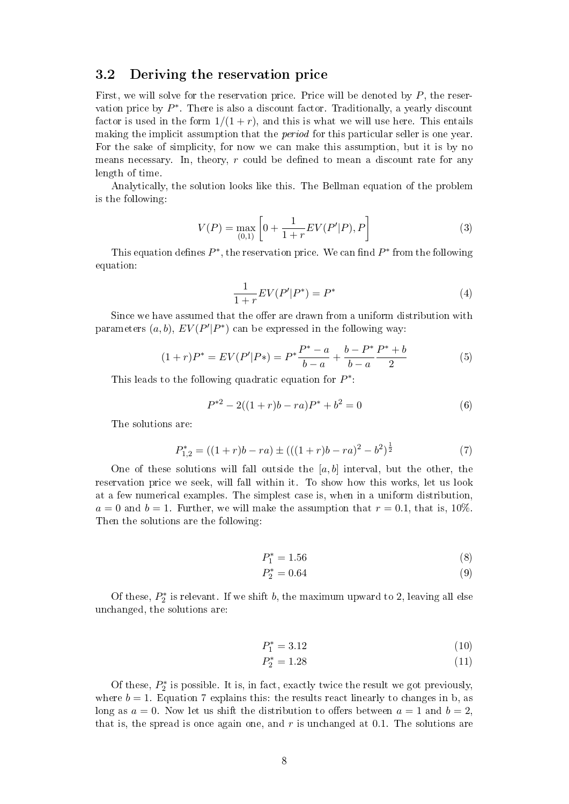#### 3.2 Deriving the reservation price

First, we will solve for the reservation price. Price will be denoted by  $P$ , the reservation price by  $P^*$ . There is also a discount factor. Traditionally, a yearly discount factor is used in the form  $1/(1+r)$ , and this is what we will use here. This entails making the implicit assumption that the *period* for this particular seller is one year. For the sake of simplicity, for now we can make this assumption, but it is by no means necessary. In, theory,  $r$  could be defined to mean a discount rate for any length of time.

Analytically, the solution looks like this. The Bellman equation of the problem is the following:

$$
V(P) = \max_{(0,1)} \left[ 0 + \frac{1}{1+r} EV(P'|P), P \right]
$$
 (3)

This equation defines  $P^*$ , the reservation price. We can find  $P^*$  from the following equation:

$$
\frac{1}{1+r}EV(P'|P^*) = P^*
$$
\n(4)

Since we have assumed that the offer are drawn from a uniform distribution with parameters  $(a, b)$ ,  $EV(P'|P^*)$  can be expressed in the following way:

$$
(1+r)P^* = EV(P'|P*) = P^* \frac{P^* - a}{b - a} + \frac{b - P^*}{b - a} \frac{P^* + b}{2}
$$
(5)

This leads to the following quadratic equation for  $P^*$ :

$$
P^{*2} - 2((1+r)b - ra)P^* + b^2 = 0
$$
\n(6)

The solutions are:

$$
P_{1,2}^{*} = ((1+r)b - ra) \pm (((1+r)b - ra)^{2} - b^{2})^{\frac{1}{2}}
$$
\n(7)

One of these solutions will fall outside the  $[a, b]$  interval, but the other, the reservation price we seek, will fall within it. To show how this works, let us look at a few numerical examples. The simplest case is, when in a uniform distribution,  $a = 0$  and  $b = 1$ . Further, we will make the assumption that  $r = 0.1$ , that is, 10%. Then the solutions are the following:

$$
P_1^* = 1.56 \tag{8}
$$

$$
P_2^* = 0.64\tag{9}
$$

Of these,  $P_2^*$  is relevant. If we shift b, the maximum upward to 2, leaving all else unchanged, the solutions are:

$$
P_1^* = 3.12 \tag{10}
$$

$$
P_2^* = 1.28\tag{11}
$$

Of these,  $P_2^*$  is possible. It is, in fact, exactly twice the result we got previously, where  $b = 1$ . Equation 7 explains this: the results react linearly to changes in b, as long as  $a = 0$ . Now let us shift the distribution to offers between  $a = 1$  and  $b = 2$ . that is, the spread is once again one, and  $r$  is unchanged at 0.1. The solutions are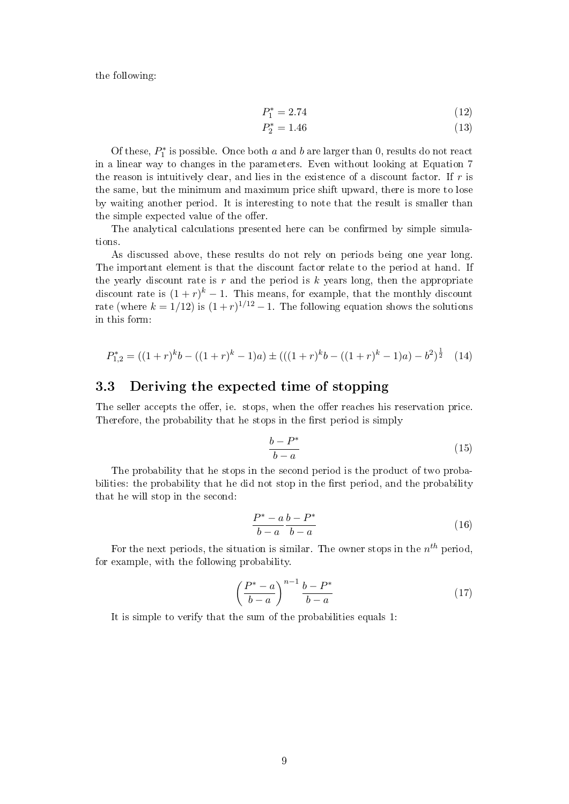the following:

$$
P_1^* = 2.74\tag{12}
$$

$$
P_2^* = 1.46 \tag{13}
$$

Of these,  $P_1^*$  is possible. Once both a and b are larger than 0, results do not react in a linear way to changes in the parameters. Even without looking at Equation 7 the reason is intuitively clear, and lies in the existence of a discount factor. If r is the same, but the minimum and maximum price shift upward, there is more to lose by waiting another period. It is interesting to note that the result is smaller than the simple expected value of the offer.

The analytical calculations presented here can be confirmed by simple simulations.

As discussed above, these results do not rely on periods being one year long. The important element is that the discount factor relate to the period at hand. If the yearly discount rate is r and the period is  $k$  years long, then the appropriate discount rate is  $(1+r)^k-1$ . This means, for example, that the monthly discount rate (where  $k = 1/12$ ) is  $(1+r)^{1/12} - 1$ . The following equation shows the solutions in this form:

$$
P_{1,2}^{*} = ((1+r)^{k}b - ((1+r)^{k} - 1)a) \pm (((1+r)^{k}b - ((1+r)^{k} - 1)a) - b^{2})^{\frac{1}{2}} \quad (14)
$$

#### 3.3 Deriving the expected time of stopping

The seller accepts the offer, ie. stops, when the offer reaches his reservation price. Therefore, the probability that he stops in the first period is simply

$$
\frac{b - P^*}{b - a} \tag{15}
$$

The probability that he stops in the second period is the product of two probabilities: the probability that he did not stop in the first period, and the probability that he will stop in the second:

$$
\frac{P^* - a b - P^*}{b - a b - - a} \tag{16}
$$

For the next periods, the situation is similar. The owner stops in the  $n^{th}$  period, for example, with the following probability.

$$
\left(\frac{P^*-a}{b-a}\right)^{n-1}\frac{b-P^*}{b-a} \tag{17}
$$

It is simple to verify that the sum of the probabilities equals 1: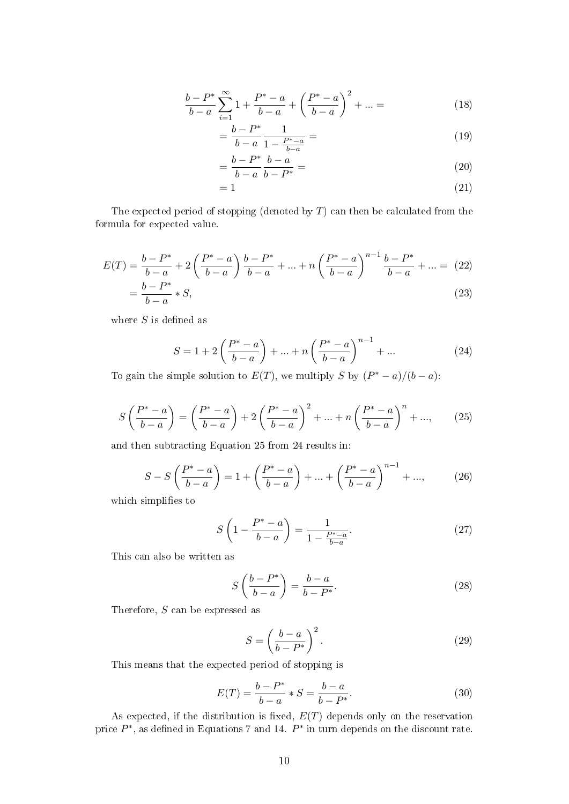$$
\frac{b - P^*}{b - a} \sum_{i=1}^{\infty} 1 + \frac{P^* - a}{b - a} + \left(\frac{P^* - a}{b - a}\right)^2 + \dots = \tag{18}
$$

$$
=\frac{b-P^*}{b-a}\frac{1}{1-\frac{P^*-a}{b-a}}=\tag{19}
$$

$$
= \frac{b - P^*}{b - a} \frac{b - a}{b - P^*} = \tag{20}
$$

$$
=1\tag{21}
$$

The expected period of stopping (denoted by  $T$ ) can then be calculated from the formula for expected value.

$$
E(T) = \frac{b - P^*}{b - a} + 2\left(\frac{P^* - a}{b - a}\right)\frac{b - P^*}{b - a} + \dots + n\left(\frac{P^* - a}{b - a}\right)^{n-1}\frac{b - P^*}{b - a} + \dots = (22)
$$

$$
= \frac{b - P^*}{b - a} * S.
$$
 (23)

$$
=\frac{b-a}{b-a} * S,\tag{23}
$$

where  $S$  is defined as

$$
S = 1 + 2\left(\frac{P^* - a}{b - a}\right) + \dots + n\left(\frac{P^* - a}{b - a}\right)^{n-1} + \dots
$$
 (24)

To gain the simple solution to  $E(T)$ , we multiply S by  $(P^* - a)/(b - a)$ :

$$
S\left(\frac{P^*-a}{b-a}\right) = \left(\frac{P^*-a}{b-a}\right) + 2\left(\frac{P^*-a}{b-a}\right)^2 + \dots + n\left(\frac{P^*-a}{b-a}\right)^n + \dots,\tag{25}
$$

and then subtracting Equation 25 from 24 results in:

$$
S - S\left(\frac{P^* - a}{b - a}\right) = 1 + \left(\frac{P^* - a}{b - a}\right) + \dots + \left(\frac{P^* - a}{b - a}\right)^{n - 1} + \dots,\tag{26}
$$

which simplifies to

$$
S\left(1 - \frac{P^* - a}{b - a}\right) = \frac{1}{1 - \frac{P^* - a}{b - a}}.\tag{27}
$$

This can also be written as

$$
S\left(\frac{b-P^*}{b-a}\right) = \frac{b-a}{b-P^*}.\tag{28}
$$

Therefore, S can be expressed as

$$
S = \left(\frac{b-a}{b-P^*}\right)^2.
$$
\n(29)

This means that the expected period of stopping is

$$
E(T) = \frac{b - P^*}{b - a} * S = \frac{b - a}{b - P^*}.
$$
\n(30)

As expected, if the distribution is fixed,  $E(T)$  depends only on the reservation price  $P^*$ , as defined in Equations 7 and 14.  $P^*$  in turn depends on the discount rate.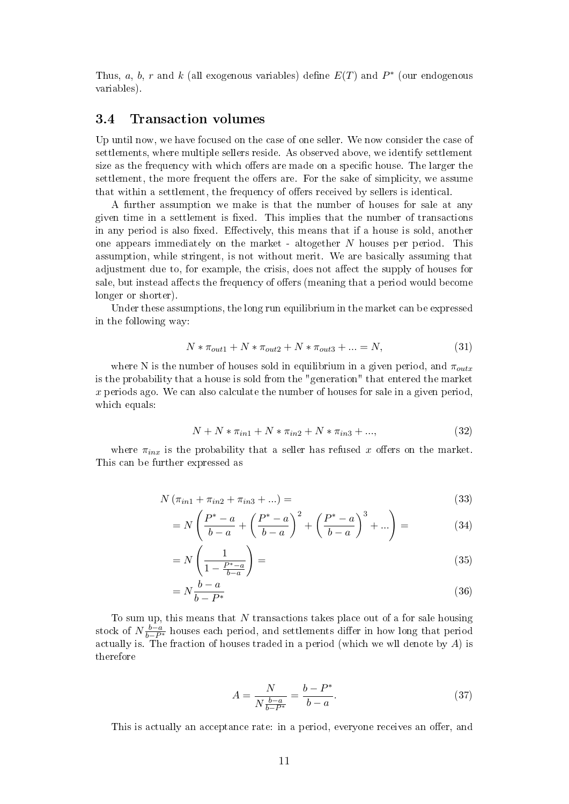Thus, a, b, r and k (all exogenous variables) define  $E(T)$  and  $P^*$  (our endogenous variables).

#### 3.4 Transaction volumes

Up until now, we have focused on the case of one seller. We now consider the case of settlements, where multiple sellers reside. As observed above, we identify settlement size as the frequency with which offers are made on a specific house. The larger the settlement, the more frequent the offers are. For the sake of simplicity, we assume that within a settlement, the frequency of offers received by sellers is identical.

A further assumption we make is that the number of houses for sale at any given time in a settlement is fixed. This implies that the number of transactions in any period is also fixed. Effectively, this means that if a house is sold, another one appears immediately on the market - altogether N houses per period. This assumption, while stringent, is not without merit. We are basically assuming that adjustment due to, for example, the crisis, does not affect the supply of houses for sale, but instead affects the frequency of offers (meaning that a period would become longer or shorter).

Under these assumptions, the long run equilibrium in the market can be expressed in the following way:

$$
N * \pi_{out1} + N * \pi_{out2} + N * \pi_{out3} + \dots = N,
$$
\n(31)

where N is the number of houses sold in equilibrium in a given period, and  $\pi_{outx}$ is the probability that a house is sold from the "generation" that entered the market x periods ago. We can also calculate the number of houses for sale in a given period, which equals:

$$
N + N * \pi_{in1} + N * \pi_{in2} + N * \pi_{in3} + ..., \qquad (32)
$$

where  $\pi_{inx}$  is the probability that a seller has refused x offers on the market. This can be further expressed as

$$
N(\pi_{in1} + \pi_{in2} + \pi_{in3} + ...) =
$$
\n(33)

$$
= N \left( \frac{P^* - a}{b - a} + \left( \frac{P^* - a}{b - a} \right)^2 + \left( \frac{P^* - a}{b - a} \right)^3 + \dots \right) = \tag{34}
$$

$$
=N\left(\frac{1}{1-\frac{P^*-a}{b-a}}\right)=\tag{35}
$$

$$
=N\frac{b-a}{b-P^*}\tag{36}
$$

To sum up, this means that  $N$  transactions takes place out of a for sale housing stock of  $N\frac{b-a}{b-P^*}$  houses each period, and settlements differ in how long that period actually is. The fraction of houses traded in a period (which we wll denote by  $A$ ) is therefore

$$
A = \frac{N}{N \frac{b-a}{b-P^*}} = \frac{b-P^*}{b-a}.
$$
\n(37)

This is actually an acceptance rate: in a period, everyone receives an offer, and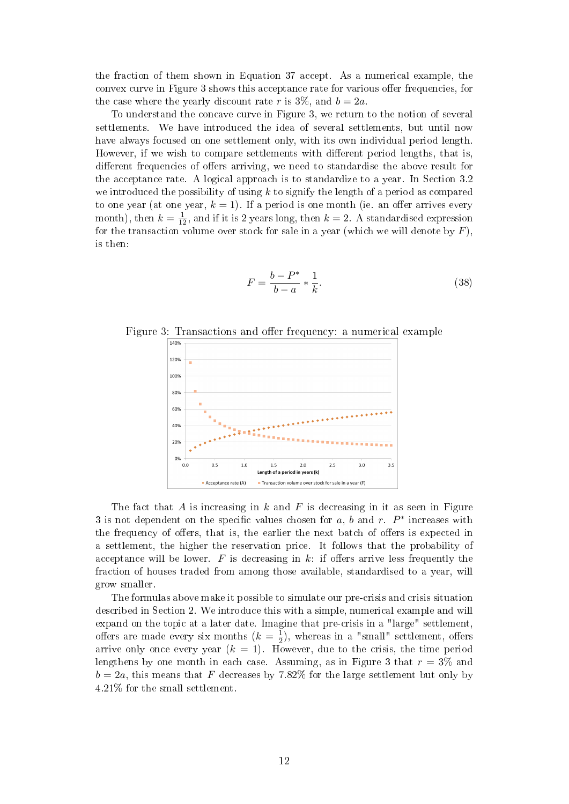the fraction of them shown in Equation 37 accept. As a numerical example, the convex curve in Figure 3 shows this acceptance rate for various offer frequencies, for the case where the yearly discount rate r is  $3\%$ , and  $b = 2a$ .

To understand the concave curve in Figure 3, we return to the notion of several settlements. We have introduced the idea of several settlements, but until now have always focused on one settlement only, with its own individual period length. However, if we wish to compare settlements with different period lengths, that is, different frequencies of offers arriving, we need to standardise the above result for the acceptance rate. A logical approach is to standardize to a year. In Section 3.2 we introduced the possibility of using  $k$  to signify the length of a period as compared to one year (at one year,  $k = 1$ ). If a period is one month (ie. an offer arrives every month), then  $k = \frac{1}{12}$ , and if it is 2 years long, then  $k = 2$ . A standardised expression for the transaction volume over stock for sale in a year (which we will denote by  $F$ ). is then:

$$
F = \frac{b - P^*}{b - a} * \frac{1}{k}.
$$
\n(38)

Figure 3: Transactions and offer frequency: a numerical example



The fact that  $A$  is increasing in  $k$  and  $F$  is decreasing in it as seen in Figure 3 is not dependent on the specific values chosen for  $a, b$  and  $r. P^*$  increases with the frequency of offers, that is, the earlier the next batch of offers is expected in a settlement, the higher the reservation price. It follows that the probability of acceptance will be lower. F is decreasing in k: if offers arrive less frequently the fraction of houses traded from among those available, standardised to a year, will grow smaller.

The formulas above make it possible to simulate our pre-crisis and crisis situation described in Section 2. We introduce this with a simple, numerical example and will expand on the topic at a later date. Imagine that pre-crisis in a "large" settlement, offers are made every six months  $(k = \frac{1}{2})$  $\frac{1}{2}$ , whereas in a "small" settlement, offers arrive only once every year  $(k = 1)$ . However, due to the crisis, the time period lengthens by one month in each case. Assuming, as in Figure 3 that  $r = 3\%$  and  $b = 2a$ , this means that F decreases by 7.82% for the large settlement but only by 4.21% for the small settlement.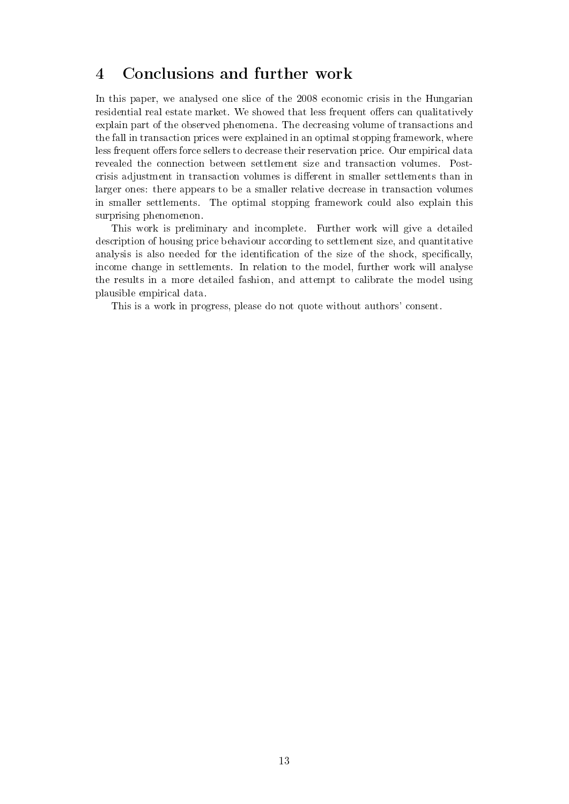### 4 Conclusions and further work

In this paper, we analysed one slice of the 2008 economic crisis in the Hungarian residential real estate market. We showed that less frequent offers can qualitatively explain part of the observed phenomena. The decreasing volume of transactions and the fall in transaction prices were explained in an optimal stopping framework, where less frequent offers force sellers to decrease their reservation price. Our empirical data revealed the connection between settlement size and transaction volumes. Postcrisis adjustment in transaction volumes is dierent in smaller settlements than in larger ones: there appears to be a smaller relative decrease in transaction volumes in smaller settlements. The optimal stopping framework could also explain this surprising phenomenon.

This work is preliminary and incomplete. Further work will give a detailed description of housing price behaviour according to settlement size, and quantitative analysis is also needed for the identification of the size of the shock, specifically, income change in settlements. In relation to the model, further work will analyse the results in a more detailed fashion, and attempt to calibrate the model using plausible empirical data.

This is a work in progress, please do not quote without authors' consent.